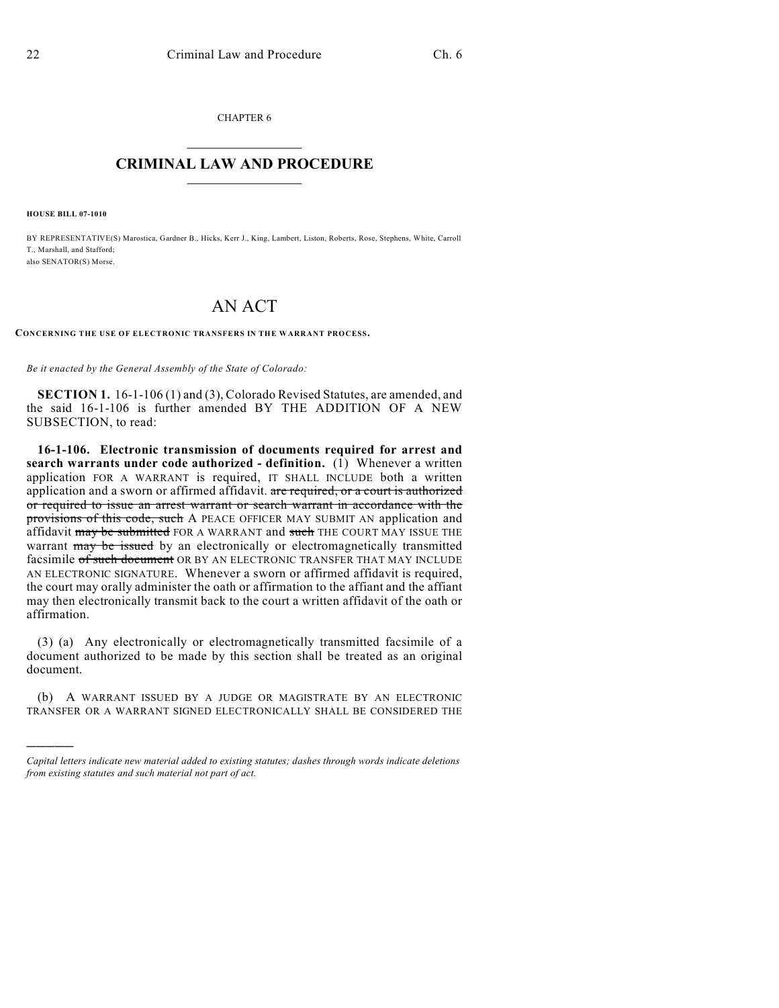CHAPTER 6

## $\overline{\phantom{a}}$  . The set of the set of the set of the set of the set of the set of the set of the set of the set of the set of the set of the set of the set of the set of the set of the set of the set of the set of the set o **CRIMINAL LAW AND PROCEDURE**  $\frac{1}{2}$  ,  $\frac{1}{2}$  ,  $\frac{1}{2}$  ,  $\frac{1}{2}$  ,  $\frac{1}{2}$  ,  $\frac{1}{2}$  ,  $\frac{1}{2}$

**HOUSE BILL 07-1010**

)))))

BY REPRESENTATIVE(S) Marostica, Gardner B., Hicks, Kerr J., King, Lambert, Liston, Roberts, Rose, Stephens, White, Carroll T., Marshall, and Stafford; also SENATOR(S) Morse.

## AN ACT

**CONCERNING THE USE OF ELECTRONIC TRANSFERS IN THE WARRANT PROCESS.**

*Be it enacted by the General Assembly of the State of Colorado:*

**SECTION 1.** 16-1-106 (1) and (3), Colorado Revised Statutes, are amended, and the said 16-1-106 is further amended BY THE ADDITION OF A NEW SUBSECTION, to read:

**16-1-106. Electronic transmission of documents required for arrest and search warrants under code authorized - definition.** (1) Whenever a written application FOR A WARRANT is required, IT SHALL INCLUDE both a written application and a sworn or affirmed affidavit. are required, or a court is authorized or required to issue an arrest warrant or search warrant in accordance with the provisions of this code, such A PEACE OFFICER MAY SUBMIT AN application and affidavit may be submitted FOR A WARRANT and such THE COURT MAY ISSUE THE warrant may be issued by an electronically or electromagnetically transmitted facsimile of such document OR BY AN ELECTRONIC TRANSFER THAT MAY INCLUDE AN ELECTRONIC SIGNATURE. Whenever a sworn or affirmed affidavit is required, the court may orally administer the oath or affirmation to the affiant and the affiant may then electronically transmit back to the court a written affidavit of the oath or affirmation.

(3) (a) Any electronically or electromagnetically transmitted facsimile of a document authorized to be made by this section shall be treated as an original document.

(b) A WARRANT ISSUED BY A JUDGE OR MAGISTRATE BY AN ELECTRONIC TRANSFER OR A WARRANT SIGNED ELECTRONICALLY SHALL BE CONSIDERED THE

*Capital letters indicate new material added to existing statutes; dashes through words indicate deletions from existing statutes and such material not part of act.*